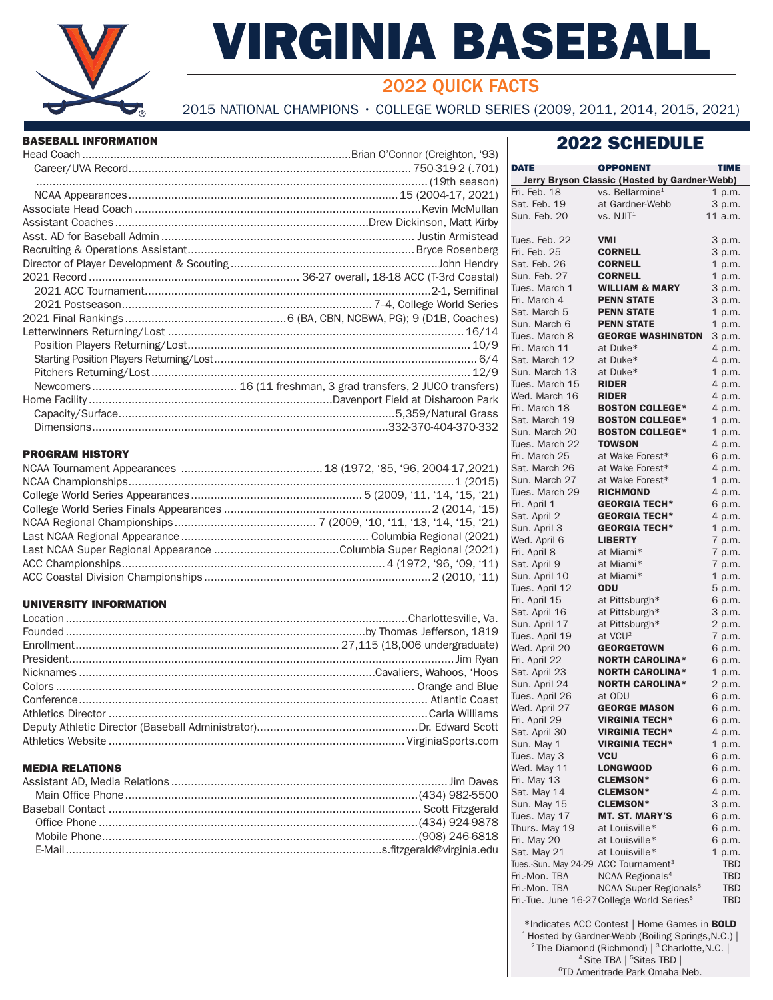

# VIRGINIA BASEBALL

# 2022 QUICK FACTS

2015 NATIONAL CHAMPIONS • COLLEGE WORLD SERIES (2009, 2011, 2014, 2015, 2021)

#### BASEBALL INFORMATION

#### PROGRAM HISTORY

#### UNIVERSITY INFORMATION

#### MEDIA RELATIONS

| DATE                                             | <b>OPPONENT</b>                                        | TIME       |
|--------------------------------------------------|--------------------------------------------------------|------------|
|                                                  | Jerry Bryson Classic (Hosted by Gardner-Webb)          |            |
| Fri. Feb. 18                                     | vs. Bellarmine <sup>1</sup>                            | 1 p.m.     |
| Sat. Feb. 19                                     | at Gardner-Webb                                        | 3 p.m.     |
| Sun. Feb. 20                                     | VS. NJIT <sup>1</sup>                                  | 11 a.m.    |
|                                                  |                                                        |            |
| Tues. Feb. 22                                    | <b>VMI</b>                                             | 3 p.m.     |
| Fri. Feb. 25                                     | <b>CORNELL</b>                                         | 3 p.m.     |
| Sat. Feb. 26                                     | <b>CORNELL</b>                                         | 1 p.m.     |
| Sun. Feb. 27                                     | <b>CORNELL</b>                                         | 1 p.m.     |
|                                                  | <b>WILLIAM &amp; MARY</b>                              |            |
| Tues. March 1                                    |                                                        | 3 p.m.     |
| Fri. March 4                                     | <b>PENN STATE</b>                                      | 3 p.m.     |
| Sat. March 5                                     | <b>PENN STATE</b>                                      | 1 p.m.     |
| Sun. March 6                                     | <b>PENN STATE</b>                                      | 1 p.m.     |
| Tues. March 8                                    | <b>GEORGE WASHINGTON</b>                               | 3 p.m.     |
| Fri. March 11                                    | at Duke*                                               | 4 p.m.     |
| Sat. March 12                                    | at Duke*                                               | 4 p.m.     |
| Sun. March 13                                    | at Duke*                                               | 1 p.m.     |
| Tues. March 15                                   | <b>RIDER</b>                                           | 4 p.m.     |
| Wed. March 16                                    | <b>RIDER</b>                                           | 4 p.m.     |
| Fri. March 18                                    | <b>BOSTON COLLEGE*</b>                                 |            |
|                                                  |                                                        | 4 p.m.     |
| Sat. March 19                                    | <b>BOSTON COLLEGE*</b>                                 | 1 p.m.     |
| Sun. March 20                                    | <b>BOSTON COLLEGE*</b>                                 | 1 p.m.     |
| Tues. March 22                                   | <b>TOWSON</b>                                          | 4 p.m.     |
| Fri. March 25                                    | at Wake Forest*                                        | 6 p.m.     |
| Sat. March 26                                    | at Wake Forest*                                        | 4 p.m.     |
| Sun. March 27                                    | at Wake Forest*                                        | 1 p.m.     |
| Tues. March 29                                   | <b>RICHMOND</b>                                        | 4 p.m.     |
| Fri. April 1                                     | <b>GEORGIA TECH*</b>                                   | 6 p.m.     |
| Sat. April 2                                     | <b>GEORGIA TECH*</b>                                   | 4 p.m.     |
| Sun. April 3                                     | <b>GEORGIA TECH*</b>                                   | 1 p.m.     |
| Wed. April 6                                     | <b>LIBERTY</b>                                         | 7 p.m.     |
| Fri. April 8                                     | at Miami*                                              | 7 p.m.     |
| Sat. April 9                                     | at Miami*                                              | 7 p.m.     |
| Sun. April 10                                    | at Miami*                                              | 1 p.m.     |
| Tues. April 12                                   | <b>ODU</b>                                             | 5 p.m.     |
| Fri. April 15                                    | at Pittsburgh*                                         |            |
|                                                  |                                                        | 6 p.m.     |
| Sat. April 16                                    | at Pittsburgh*                                         | 3 p.m.     |
| Sun. April 17                                    | at Pittsburgh*                                         | 2 p.m.     |
| Tues. April 19                                   | at VCU <sup>2</sup>                                    | 7 p.m.     |
| Wed. April 20                                    | <b>GEORGETOWN</b>                                      | 6 p.m.     |
| Fri. April 22                                    | <b>NORTH CAROLINA*</b>                                 | 6 p.m.     |
| Sat. April 23                                    | <b>NORTH CAROLINA*</b>                                 | 1 p.m.     |
| Sun. April 24                                    | <b>NORTH CAROLINA*</b>                                 | 2 p.m.     |
| Tues. April 26                                   | at ODU                                                 | 6 p.m.     |
| Wed. April 27                                    | <b>GEORGE MASON</b>                                    | 6 p.m.     |
| Fri. April 29                                    | VIRGINIA TECH*                                         | 6 p.m.     |
| Sat. April 30                                    | <b>VIRGINIA TECH*</b>                                  | 4 p.m.     |
| Sun. May 1                                       | <b>VIRGINIA TECH*</b>                                  | 1 p.m.     |
| Tues. May 3                                      | VCU                                                    | 6 p.m.     |
| Wed. May 11                                      | <b>LONGWOOD</b>                                        | 6 p.m.     |
| Fri. May 13                                      | <b>CLEMSON*</b>                                        | 6 p.m.     |
| Sat. May 14                                      | <b>CLEMSON*</b>                                        | 4 p.m.     |
|                                                  | <b>CLEMSON*</b>                                        |            |
| Sun. May 15                                      |                                                        | 3 p.m.     |
| Tues. May 17                                     | <b>MT. ST. MARY'S</b>                                  | 6 p.m.     |
| Thurs. May 19                                    | at Louisville*                                         | 6 p.m.     |
| Fri. May 20                                      | at Louisville*                                         | 6 p.m.     |
| Sat. May 21                                      | at Louisville*                                         | 1 p.m.     |
| Tues.-Sun. May 24-29 ACC Tournament <sup>3</sup> |                                                        | <b>TBD</b> |
| Fri.-Mon. TBA                                    | NCAA Regionals <sup>4</sup>                            | TBD        |
| Fri.-Mon. TBA                                    | NCAA Super Regionals <sup>5</sup>                      | TBD        |
|                                                  | Fri.-Tue. June 16-27 College World Series <sup>6</sup> | <b>TBD</b> |

\*Indicates ACC Contest | Home Games in BOLD <sup>1</sup> Hosted by Gardner-Webb (Boiling Springs, N.C.) | <sup>2</sup> The Diamond (Richmond) | <sup>3</sup> Charlotte, N.C. | 4 Site TBA | <sup>5</sup> Sites TBD | 6TD Ameritrade Park Omaha Neb.

## 2022 SCHEDULE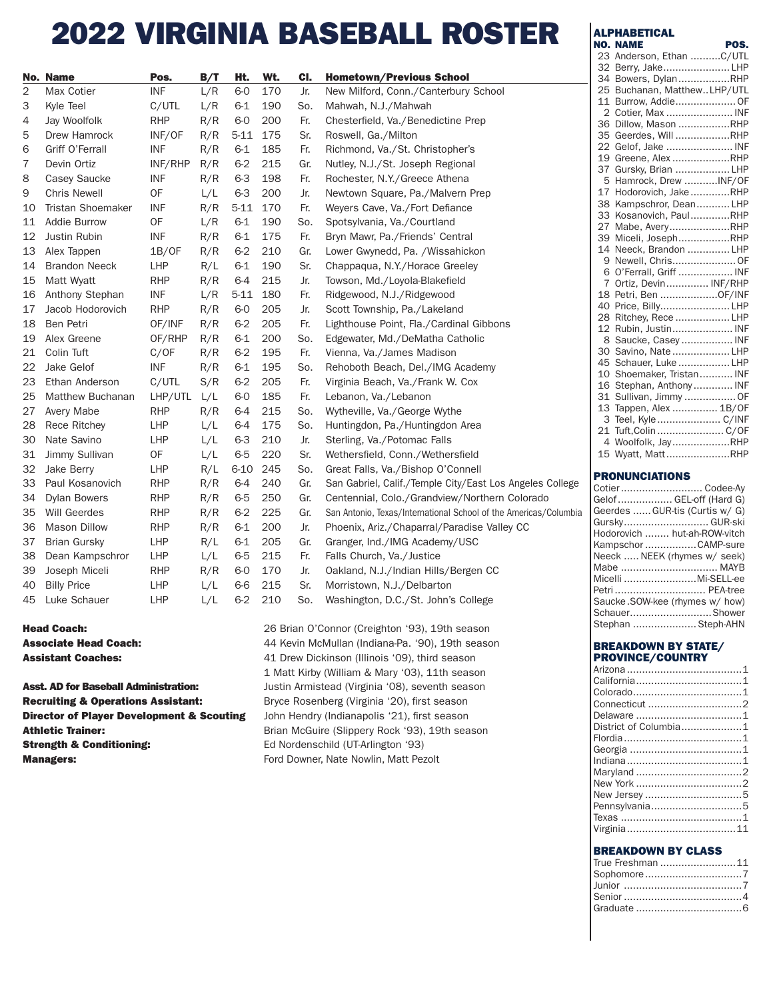# 2022 VIRGINIA BASEBALL ROSTER

|    | No. Name             | Pos.       | B/T | Ht.      | Wt. | CI. | <b>Hometown/Previous School</b>                                  |
|----|----------------------|------------|-----|----------|-----|-----|------------------------------------------------------------------|
| 2  | Max Cotier           | <b>INF</b> | L/R | $6-0$    | 170 | Jr. | New Milford, Conn./Canterbury School                             |
| 3  | Kyle Teel            | C/UTL      | L/R | $6 - 1$  | 190 | So. | Mahwah, N.J./Mahwah                                              |
| 4  | Jay Woolfolk         | <b>RHP</b> | R/R | $6-0$    | 200 | Fr. | Chesterfield, Va./Benedictine Prep                               |
| 5  | Drew Hamrock         | INF/OF     | R/R | $5 - 11$ | 175 | Sr. | Roswell, Ga./Milton                                              |
| 6  | Griff O'Ferrall      | <b>INF</b> | R/R | $6 - 1$  | 185 | Fr. | Richmond, Va./St. Christopher's                                  |
| 7  | Devin Ortiz          | INF/RHP    | R/R | $6 - 2$  | 215 | Gr. | Nutley, N.J./St. Joseph Regional                                 |
| 8  | Casey Saucke         | <b>INF</b> | R/R | $6-3$    | 198 | Fr. | Rochester, N.Y./Greece Athena                                    |
| 9  | <b>Chris Newell</b>  | OF         | L/L | $6 - 3$  | 200 | Jr. | Newtown Square, Pa./Malvern Prep                                 |
| 10 | Tristan Shoemaker    | <b>INF</b> | R/R | $5 - 11$ | 170 | Fr. | Weyers Cave, Va./Fort Defiance                                   |
| 11 | Addie Burrow         | OF         | L/R | $6 - 1$  | 190 | So. | Spotsylvania, Va./Courtland                                      |
| 12 | Justin Rubin         | INF        | R/R | $6 - 1$  | 175 | Fr. | Bryn Mawr, Pa./Friends' Central                                  |
| 13 | Alex Tappen          | 1B/OF      | R/R | $6 - 2$  | 210 | Gr. | Lower Gwynedd, Pa. / Wissahickon                                 |
| 14 | <b>Brandon Neeck</b> | <b>LHP</b> | R/L | $6 - 1$  | 190 | Sr. | Chappaqua, N.Y./Horace Greeley                                   |
| 15 | Matt Wyatt           | <b>RHP</b> | R/R | $6 - 4$  | 215 | Jr. | Towson, Md./Loyola-Blakefield                                    |
| 16 | Anthony Stephan      | <b>INF</b> | L/R | $5 - 11$ | 180 | Fr. | Ridgewood, N.J./Ridgewood                                        |
| 17 | Jacob Hodorovich     | <b>RHP</b> | R/R | $6-0$    | 205 | Jr. | Scott Township, Pa./Lakeland                                     |
| 18 | Ben Petri            | OF/INF     | R/R | $6 - 2$  | 205 | Fr. | Lighthouse Point, Fla./Cardinal Gibbons                          |
| 19 | Alex Greene          | OF/RHP     | R/R | $6 - 1$  | 200 | So. | Edgewater, Md./DeMatha Catholic                                  |
| 21 | Colin Tuft           | C/OF       | R/R | $6 - 2$  | 195 | Fr. | Vienna, Va./James Madison                                        |
| 22 | Jake Gelof           | <b>INF</b> | R/R | $6 - 1$  | 195 | So. | Rehoboth Beach, Del./IMG Academy                                 |
| 23 | Ethan Anderson       | C/UTL      | S/R | $6 - 2$  | 205 | Fr. | Virginia Beach, Va./Frank W. Cox                                 |
| 25 | Matthew Buchanan     | LHP/UTL    | L/L | $6-0$    | 185 | Fr. | Lebanon, Va./Lebanon                                             |
| 27 | Avery Mabe           | <b>RHP</b> | R/R | $6 - 4$  | 215 | So. | Wytheville, Va./George Wythe                                     |
| 28 | Rece Ritchey         | <b>LHP</b> | L/L | 6-4      | 175 | So. | Huntingdon, Pa./Huntingdon Area                                  |
| 30 | Nate Savino          | <b>LHP</b> | L/L | $6 - 3$  | 210 | Jr. | Sterling, Va./Potomac Falls                                      |
| 31 | Jimmy Sullivan       | 0F         | L/L | $6-5$    | 220 | Sr. | Wethersfield, Conn./Wethersfield                                 |
| 32 | Jake Berry           | <b>LHP</b> | R/L | $6 - 10$ | 245 | So. | Great Falls, Va./Bishop O'Connell                                |
| 33 | Paul Kosanovich      | <b>RHP</b> | R/R | $6 - 4$  | 240 | Gr. | San Gabriel, Calif./Temple City/East Los Angeles College         |
| 34 | <b>Dylan Bowers</b>  | <b>RHP</b> | R/R | $6-5$    | 250 | Gr. | Centennial, Colo./Grandview/Northern Colorado                    |
| 35 | Will Geerdes         | <b>RHP</b> | R/R | $6 - 2$  | 225 | Gr. | San Antonio, Texas/International School of the Americas/Columbia |
| 36 | <b>Mason Dillow</b>  | <b>RHP</b> | R/R | $6 - 1$  | 200 | Jr. | Phoenix, Ariz./Chaparral/Paradise Valley CC                      |
| 37 | <b>Brian Gursky</b>  | <b>LHP</b> | R/L | $6 - 1$  | 205 | Gr. | Granger, Ind./IMG Academy/USC                                    |
| 38 | Dean Kampschror      | LHP        | L/L | $6-5$    | 215 | Fr. | Falls Church, Va./Justice                                        |
| 39 | Joseph Miceli        | <b>RHP</b> | R/R | $6-0$    | 170 | Jr. | Oakland, N.J./Indian Hills/Bergen CC                             |
| 40 | <b>Billy Price</b>   | <b>LHP</b> | L/L | $6-6$    | 215 | Sr. | Morristown, N.J./Delbarton                                       |
| 45 | Luke Schauer         | <b>LHP</b> | L/L | $6 - 2$  | 210 | So. | Washington, D.C./St. John's College                              |
|    |                      |            |     |          |     |     |                                                                  |

Recruiting & Operations Assistant: Bryce Rosenberg (Virginia '20), first season **Director of Player Development & Scouting** John Hendry (Indianapolis '21), first season Strength & Conditioning: Ed Nordenschild (UT-Arlington '93) **Managers:** Ford Downer, Nate Nowlin, Matt Pezolt

**Head Coach:** 26 Brian O'Connor (Creighton '93), 19th season Associate Head Coach: **44 Kevin McMullan (Indiana-Pa. '90), 19th season** Assistant Coaches: **41 Drew Dickinson (Illinois '09)**, third season 1 Matt Kirby (William & Mary '03), 11th season Asst. AD for Baseball Administration: Justin Armistead (Virginia '08), seventh season Athletic Trainer: **Brian McGuire (Slippery Rock '93)**, 19th season

#### **ALPHABETICAL** NO. NAME POS.

| 23                      | Anderson, Ethan C/UTL    |
|-------------------------|--------------------------|
| 32                      | Berry, JakeLHP           |
| 34                      | Bowers, DylanRHP         |
| 25                      | Buchanan, MatthewLHP/UTL |
| 11                      | Burrow, Addie OF         |
| $\overline{2}$          | Cotier, Max  INF         |
| 36                      | Dillow, Mason RHP        |
| 35                      | Geerdes, Will RHP        |
| 22                      | Gelof, Jake  INF         |
| 19                      | Greene, Alex RHP         |
| 37                      | Gursky, Brian  LHP       |
| - 5                     | Hamrock, Drew INF/OF     |
| 17                      | Hodorovich, Jake RHP     |
| 38                      | Kampschror, DeanLHP      |
| 33                      | Kosanovich, PaulRHP      |
| 27                      | Mabe, AveryRHP           |
| 39                      | Miceli, JosephRHP        |
| 14                      | Neeck, Brandon  LHP      |
| 9                       | Newell, ChrisOF          |
| 6                       | O'Ferrall, Griff  INF    |
| 7                       | Ortiz, Devin INF/RHP     |
| 18                      | Petri, Ben OF/INF        |
| 40                      | Price, BillyLHP          |
| 28                      | Ritchey, Rece  LHP       |
| 12                      | Rubin, Justin INF        |
| 8                       | Saucke, Casey  INF       |
| 30                      | Savino, Nate  LHP        |
| 45                      | Schauer, Luke LHP        |
| 10                      | Shoemaker, Tristan INF   |
| 16                      | Stephan, Anthony INF     |
| 31                      | Sullivan, Jimmy  OF      |
| 13                      | Tappen, Alex  1B/OF      |
| $\overline{\mathbf{3}}$ |                          |
| 21                      | Tuft, Colin  C/OF        |
| $\overline{4}$          | Woolfolk, JayRHP         |

#### PRONUNCIATIONS

| Cotier Codee-Ay                |
|--------------------------------|
| Gelof  GEL-off (Hard G)        |
| Geerdes  GUR-tis (Curtis w/ G) |
| Gursky GUR-ski                 |
| Hodorovich  hut-ah-ROW-vitch   |
| Kampschor CAMP-sure            |
| Neeck  NEEK (rhymes w/ seek)   |
| Mabe  MAYB                     |
| Micelli Mi-SELL-ee             |
| Petri  PEA-tree                |
| Saucke.SOW-kee (rhymes w/ how) |
| SchauerShower                  |
| Stephan  Steph-AHN             |

15 Wyatt, Matt.....................RHP

#### BREAKDOWN BY STATE/ PROVINCE/COUNTRY

| District of Columbia1 |  |
|-----------------------|--|
|                       |  |
|                       |  |
|                       |  |
|                       |  |
|                       |  |
|                       |  |
| Pennsylvania5         |  |
|                       |  |
|                       |  |
|                       |  |

#### BREAKDOWN BY CLASS

| True Freshman 11 |  |
|------------------|--|
| Sophomore7       |  |
|                  |  |
|                  |  |
|                  |  |
|                  |  |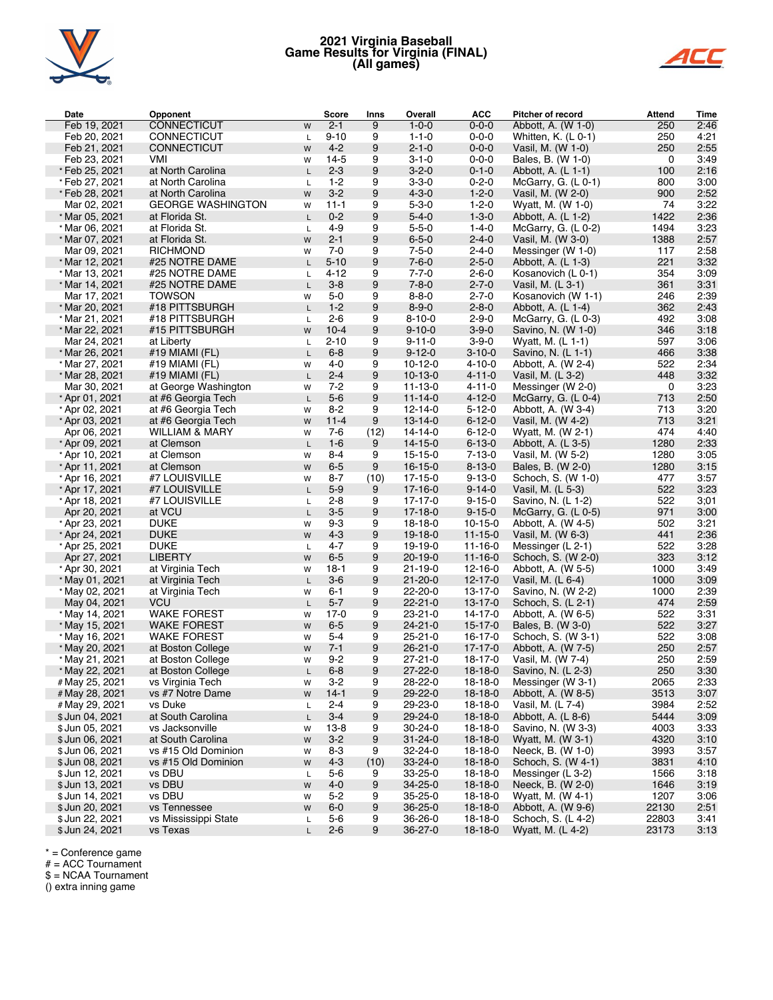

### **2021 Virginia Baseball Game Results for Virginia (FINAL) (All games)**



| Date            | Opponent                       | <b>Score</b>   | Inns | Overall       | <b>ACC</b>    | Pitcher of record     | <b>Attend</b> | Time |
|-----------------|--------------------------------|----------------|------|---------------|---------------|-----------------------|---------------|------|
| Feb 19, 2021    | <b>CONNECTICUT</b><br>W        | $2 - 1$        | 9    | $1 - 0 - 0$   | $0 - 0 - 0$   | Abbott, A. (W 1-0)    | 250           | 2:46 |
| Feb 20, 2021    | <b>CONNECTICUT</b><br>L        | $9 - 10$       | 9    | $1 - 1 - 0$   | $0 - 0 - 0$   | Whitten, $K.$ (L 0-1) | 250           | 4:21 |
| Feb 21, 2021    | <b>CONNECTICUT</b><br>W        | $4 - 2$        | 9    | $2 - 1 - 0$   | $0 - 0 - 0$   | Vasil, M. (W 1-0)     | 250           | 2:55 |
| Feb 23, 2021    | VMI<br>W                       | $14-5$         | 9    | $3 - 1 - 0$   | $0 - 0 - 0$   | Bales, B. (W 1-0)     | 0             | 3:49 |
| *Feb 25, 2021   | at North Carolina              | $2 - 3$<br>L.  | 9    | $3 - 2 - 0$   | $0 - 1 - 0$   | Abbott, A. (L 1-1)    | 100           | 2:16 |
| *Feb 27, 2021   | at North Carolina<br>L         | $1 - 2$        | 9    | $3 - 3 - 0$   | $0 - 2 - 0$   | McGarry, G. $(L 0-1)$ | 800           | 3:00 |
| * Feb 28, 2021  | at North Carolina<br>W         | $3 - 2$        | 9    | $4 - 3 - 0$   | $1 - 2 - 0$   | Vasil, M. (W 2-0)     | 900           | 2:52 |
| Mar 02, 2021    | <b>GEORGE WASHINGTON</b><br>W  | $11 - 1$       | 9    | $5 - 3 - 0$   | $1 - 2 - 0$   | Wyatt, M. (W 1-0)     | 74            | 3:22 |
| * Mar 05, 2021  | at Florida St.                 | $0 - 2$<br>L.  | 9    | $5 - 4 - 0$   | $1 - 3 - 0$   | Abbott, A. (L 1-2)    | 1422          | 2:36 |
| * Mar 06, 2021  | at Florida St.<br>L            | $4 - 9$        | 9    | $5 - 5 - 0$   | $1 - 4 - 0$   | McGarry, G. $(L 0-2)$ | 1494          | 3:23 |
| * Mar 07, 2021  | at Florida St.<br>W            | $2 - 1$        | 9    | $6 - 5 - 0$   | $2 - 4 - 0$   | Vasil, M. (W 3-0)     | 1388          | 2:57 |
| Mar 09, 2021    | <b>RICHMOND</b><br>W           | $7 - 0$        | 9    | $7 - 5 - 0$   | $2 - 4 - 0$   | Messinger (W 1-0)     | 117           | 2:58 |
| * Mar 12, 2021  | #25 NOTRE DAME                 | $5 - 10$<br>L. | 9    | $7 - 6 - 0$   | $2 - 5 - 0$   | Abbott, A. (L 1-3)    | 221           | 3:32 |
| * Mar 13, 2021  | #25 NOTRE DAME                 | $4 - 12$<br>L. | 9    | $7 - 7 - 0$   | $2 - 6 - 0$   | Kosanovich (L 0-1)    | 354           | 3:09 |
| * Mar 14, 2021  | #25 NOTRE DAME                 | $3 - 8$<br>L.  | 9    | $7 - 8 - 0$   | $2 - 7 - 0$   | Vasil, M. (L 3-1)     | 361           | 3:31 |
| Mar 17, 2021    | <b>TOWSON</b><br>W             | $5-0$          | 9    | $8 - 8 - 0$   | $2 - 7 - 0$   | Kosanovich (W 1-1)    | 246           | 2:39 |
| * Mar 20, 2021  | #18 PITTSBURGH                 | $1 - 2$<br>L.  | 9    | $8 - 9 - 0$   | $2 - 8 - 0$   | Abbott, A. (L 1-4)    | 362           | 2:43 |
| * Mar 21, 2021  | #18 PITTSBURGH<br>L            | $2 - 6$        | 9    | $8 - 10 - 0$  | $2 - 9 - 0$   | McGarry, G. $(L 0-3)$ | 492           | 3:08 |
| * Mar 22, 2021  | #15 PITTSBURGH<br>W            | $10 - 4$       | 9    | $9 - 10 - 0$  | $3 - 9 - 0$   | Savino, N. (W 1-0)    | 346           | 3:18 |
| Mar 24, 2021    | at Liberty                     | $2 - 10$<br>L  | 9    | $9 - 11 - 0$  | $3 - 9 - 0$   | Wyatt, M. (L 1-1)     | 597           | 3:06 |
| * Mar 26, 2021  | #19 MIAMI (FL)                 | $6 - 8$<br>L   | 9    | $9 - 12 - 0$  | $3 - 10 - 0$  | Savino, N. (L 1-1)    | 466           | 3:38 |
| * Mar 27, 2021  | #19 MIAMI (FL)<br>W            | $4 - 0$        | 9    | $10-12-0$     | $4 - 10 - 0$  | Abbott, A. (W 2-4)    | 522           | 2:34 |
| * Mar 28, 2021  | #19 MIAMI (FL)                 | $2 - 4$<br>L.  | 9    | $10-13-0$     | $4 - 11 - 0$  | Vasil, M. (L 3-2)     | 448           | 3:32 |
| Mar 30, 2021    | at George Washington<br>W      | $7 - 2$        | 9    | $11 - 13 - 0$ | $4 - 11 - 0$  | Messinger (W 2-0)     | 0             | 3:23 |
| * Apr 01, 2021  | at #6 Georgia Tech             | $5-6$<br>L     | 9    | $11 - 14 - 0$ | $4 - 12 - 0$  | McGarry, G. $(L 0-4)$ | 713           | 2:50 |
| * Apr 02, 2021  | at #6 Georgia Tech<br>W        | $8 - 2$        | 9    | $12 - 14 - 0$ | $5 - 12 - 0$  | Abbott, A. (W 3-4)    | 713           | 3:20 |
| * Apr 03, 2021  | at #6 Georgia Tech<br>W        | $11 - 4$       | 9    | $13 - 14 - 0$ | $6 - 12 - 0$  | Vasil, M. (W 4-2)     | 713           | 3:21 |
| Apr 06, 2021    | <b>WILLIAM &amp; MARY</b><br>W | $7-6$          | (12) | $14 - 14 - 0$ | $6 - 12 - 0$  | Wyatt, M. (W 2-1)     | 474           | 4:40 |
| * Apr 09, 2021  | at Clemson                     | $1 - 6$<br>L   | 9    | $14 - 15 - 0$ | $6 - 13 - 0$  | Abbott, A. (L 3-5)    | 1280          | 2:33 |
| * Apr 10, 2021  | at Clemson<br>W                | $8 - 4$        | 9    | $15 - 15 - 0$ | $7 - 13 - 0$  | Vasil, M. (W 5-2)     | 1280          | 3:05 |
| * Apr 11, 2021  | at Clemson<br>W                | $6-5$          | 9    | $16 - 15 - 0$ | $8 - 13 - 0$  | Bales, B. (W 2-0)     | 1280          | 3:15 |
| * Apr 16, 2021  | #7 LOUISVILLE<br>W             | $8 - 7$        | (10) | $17 - 15 - 0$ | $9 - 13 - 0$  | Schoch, S. (W 1-0)    | 477           | 3:57 |
| * Apr 17, 2021  | #7 LOUISVILLE                  | $5-9$<br>L.    | 9    | $17 - 16 - 0$ | $9 - 14 - 0$  | Vasil, M. (L 5-3)     | 522           | 3:23 |
| * Apr 18, 2021  | #7 LOUISVILLE                  | $2 - 8$<br>L.  | 9    | 17-17-0       | $9 - 15 - 0$  | Savino, N. (L 1-2)    | 522           | 3;01 |
| Apr 20, 2021    | at VCU                         | $3-5$<br>L     | 9    | $17 - 18 - 0$ | $9 - 15 - 0$  | McGarry, G. $(L 0-5)$ | 971           | 3:00 |
| * Apr 23, 2021  | <b>DUKE</b><br>W               | $9 - 3$        | 9    | $18-18-0$     | $10 - 15 - 0$ | Abbott, A. (W 4-5)    | 502           | 3:21 |
| * Apr 24, 2021  | <b>DUKE</b><br>W               | $4 - 3$        | 9    | $19 - 18 - 0$ | $11 - 15 - 0$ | Vasil, M. (W 6-3)     | 441           | 2:36 |
| * Apr 25, 2021  | <b>DUKE</b>                    | $4 - 7$<br>L   | 9    | 19-19-0       | $11 - 16 - 0$ | Messinger (L 2-1)     | 522           | 3:28 |
| Apr 27, 2021    | <b>LIBERTY</b><br>W            | $6-5$          | 9    | $20 - 19 - 0$ | $11 - 16 - 0$ | Schoch, S. (W 2-0)    | 323           | 3:12 |
| * Apr 30, 2021  | at Virginia Tech<br>W          | $18-1$         | 9    | $21 - 19 - 0$ | $12 - 16 - 0$ | Abbott, A. (W 5-5)    | 1000          | 3:49 |
| * May 01, 2021  | at Virginia Tech               | $3-6$<br>L     | 9    | $21 - 20 - 0$ | $12 - 17 - 0$ | Vasil, M. (L 6-4)     | 1000          | 3:09 |
| * May 02, 2021  | at Virginia Tech<br>W          | $6 - 1$        | 9    | $22 - 20 - 0$ | 13-17-0       | Savino, N. (W 2-2)    | 1000          | 2:39 |
| May 04, 2021    | <b>VCU</b>                     | $5 - 7$<br>L   | 9    | $22 - 21 - 0$ | $13 - 17 - 0$ | Schoch, S. (L 2-1)    | 474           | 2:59 |
| * May 14, 2021  | <b>WAKE FOREST</b><br>W        | $17-0$         | 9    | $23 - 21 - 0$ | 14-17-0       | Abbott, A. (W 6-5)    | 522           | 3:31 |
| * May 15, 2021  | <b>WAKE FOREST</b><br>W        | $6-5$          | 9    | $24 - 21 - 0$ | $15 - 17 - 0$ | Bales, B. (W 3-0)     | 522           | 3:27 |
| * May 16, 2021  | <b>WAKE FOREST</b><br>W        | $5 - 4$        | 9    | $25 - 21 - 0$ | 16-17-0       | Schoch, S. (W 3-1)    | 522           | 3:08 |
| * May 20, 2021  | at Boston College<br>W         | $7 - 1$        | 9    | $26 - 21 - 0$ | $17-17-0$     | Abbott, A. (W 7-5)    | 250           | 2:57 |
| * May 21, 2021  | at Boston College<br>W         | $9 - 2$        | 9    | $27 - 21 - 0$ | 18-17-0       | Vasil, M. (W 7-4)     | 250           | 2:59 |
| * May 22, 2021  | at Boston College              | $6 - 8$<br>L   | 9    | $27 - 22 - 0$ | $18 - 18 - 0$ | Savino, N. (L 2-3)    | 250           | 3:30 |
| # May 25, 2021  | vs Virginia Tech<br>W          | $3 - 2$        | 9    | 28-22-0       | 18-18-0       | Messinger (W 3-1)     | 2065          | 2:33 |
| # May 28, 2021  | vs #7 Notre Dame<br>W          | $14 - 1$       | 9    | 29-22-0       | $18-18-0$     | Abbott, A. (W 8-5)    | 3513          | 3:07 |
| # May 29, 2021  | vs Duke                        | 2-4<br>L       | 9    | 29-23-0       | $18-18-0$     | Vasil, M. (L 7-4)     | 3984          | 2:52 |
| \$ Jun 04, 2021 | at South Carolina<br>L         | $3 - 4$        | 9    | 29-24-0       | $18-18-0$     | Abbott, A. (L 8-6)    | 5444          | 3:09 |
| \$ Jun 05, 2021 | vs Jacksonville<br>W           | $13 - 8$       | 9    | $30 - 24 - 0$ | 18-18-0       | Savino, N. (W 3-3)    | 4003          | 3:33 |
| \$ Jun 06, 2021 | at South Carolina<br>W         | $3 - 2$        | 9    | $31 - 24 - 0$ | $18-18-0$     | Wyatt, M. (W 3-1)     | 4320          | 3:10 |
| \$ Jun 06, 2021 | vs #15 Old Dominion<br>W       | $8 - 3$        | 9    | 32-24-0       | $18-18-0$     | Neeck, B. (W 1-0)     | 3993          | 3:57 |
| \$ Jun 08, 2021 | vs #15 Old Dominion<br>W       | $4 - 3$        | (10) | 33-24-0       | $18-18-0$     | Schoch, S. (W 4-1)    | 3831          | 4:10 |
| \$ Jun 12, 2021 | vs DBU                         | 5-6<br>L       | 9    | 33-25-0       | 18-18-0       | Messinger (L 3-2)     | 1566          | 3:18 |
| \$ Jun 13, 2021 | vs DBU<br>W                    | $4 - 0$        | 9    | 34-25-0       | $18-18-0$     | Neeck, B. (W 2-0)     | 1646          | 3:19 |
| \$ Jun 14, 2021 | vs DBU<br>W                    | $5 - 2$        | 9    | 35-25-0       | $18-18-0$     | Wyatt, M. (W 4-1)     | 1207          | 3:06 |
| \$ Jun 20, 2021 | vs Tennessee<br>W              | $6-0$          | 9    | $36 - 25 - 0$ | $18-18-0$     | Abbott, A. (W 9-6)    | 22130         | 2:51 |
| \$ Jun 22, 2021 | vs Mississippi State           | 5-6<br>L       | 9    | 36-26-0       | $18-18-0$     | Schoch, S. (L 4-2)    | 22803         | 3:41 |
| \$ Jun 24, 2021 | vs Texas                       | $2 - 6$<br>L   | 9    | 36-27-0       | $18-18-0$     | Wyatt, M. (L 4-2)     | 23173         | 3:13 |

\* = Conference game

# = ACC Tournament

\$ = NCAA Tournament

() extra inning game